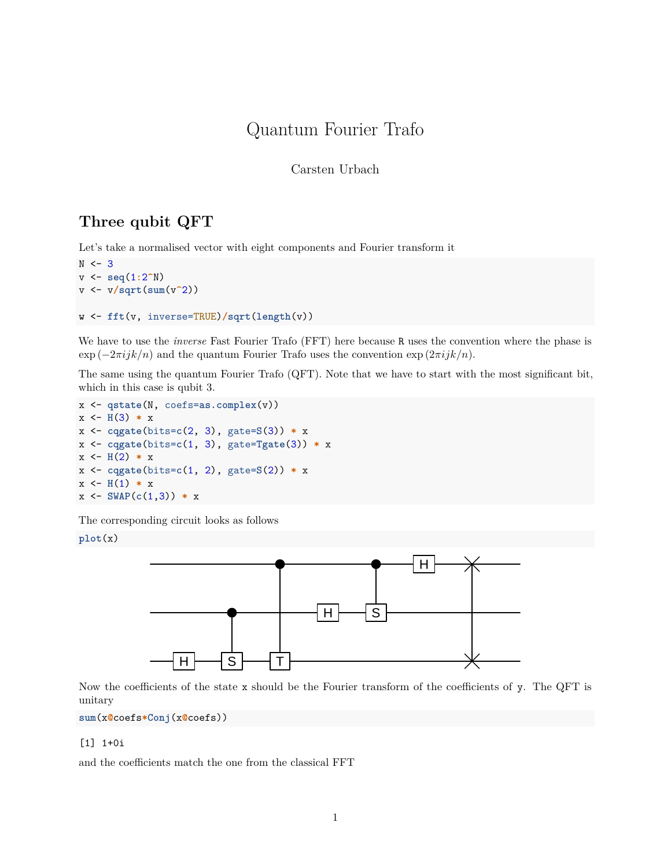# Quantum Fourier Trafo

Carsten Urbach

# **Three qubit QFT**

Let's take a normalised vector with eight components and Fourier transform it

```
N < -3v <- seq(1:2^N)
v <- v/sqrt(sum(v^2))
w <- fft(v, inverse=TRUE)/sqrt(length(v))
```
We have to use the *inverse* Fast Fourier Trafo (FFT) here because R uses the convention where the phase is  $\exp(-2\pi i jk/n)$  and the quantum Fourier Trafo uses the convention  $\exp(2\pi i jk/n)$ .

The same using the quantum Fourier Trafo (QFT). Note that we have to start with the most significant bit, which in this case is qubit 3.

```
x <- qstate(N, coefs=as.complex(v))
x \leftarrow H(3) * xx <- cqgate(bits=c(2, 3), gate=S(3)) * x
x <- cqgate(bits=c(1, 3), gate=Tgate(3)) * x
x \leftarrow H(2) * xx <- cqgate(bits=c(1, 2), gate=S(2)) * x
x \leftarrow H(1) * xx \leftarrow SWAP(c(1,3)) * x
```
The corresponding circuit looks as follows

**plot**(x)



Now the coefficients of the state  $x$  should be the Fourier transform of the coefficients of  $y$ . The QFT is unitary

**sum**(x**@**coefs**\*Conj**(x**@**coefs))

#### [1] 1+0i

and the coefficients match the one from the classical FFT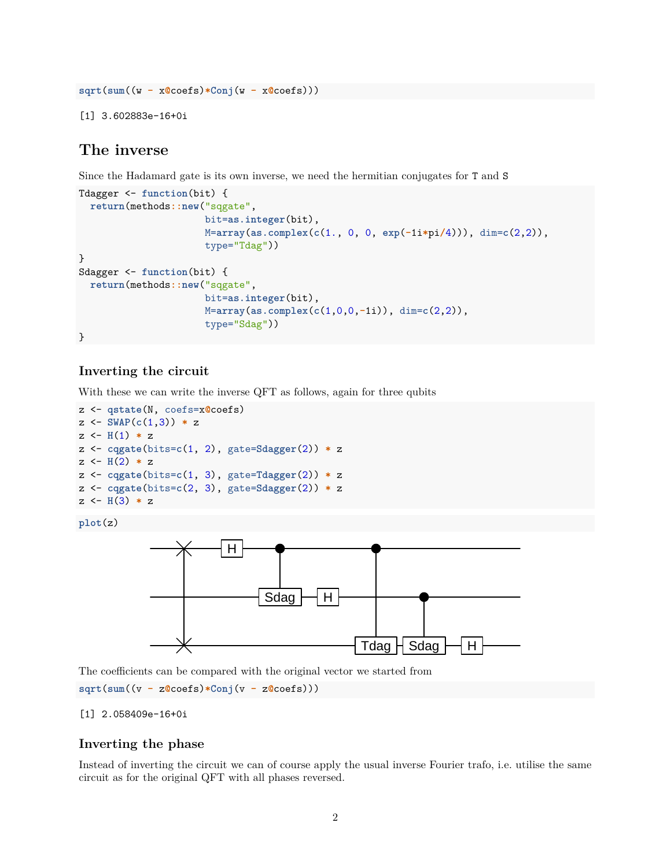```
sqrt(sum((w - x@coefs)*Conj(w - x@coefs)))
```
[1] 3.602883e-16+0i

## **The inverse**

Since the Hadamard gate is its own inverse, we need the hermitian conjugates for T and S

```
Tdagger <- function(bit) {
  return(methods::new("sqgate",
                      bit=as.integer(bit),
                      M=array(as.complex(c(1., 0, 0, exp(-1i*pi/4))), dim=c(2,2)),
                      type="Tdag"))
}
Sdagger <- function(bit) {
  return(methods::new("sqgate",
                      bit=as.integer(bit),
                      M=array(as.complex(c(1,0,0,-1i)), dim=c(2,2)),
                      type="Sdag"))
}
```
## **Inverting the circuit**

With these we can write the inverse QFT as follows, again for three qubits

```
z <- qstate(N, coefs=x@coefs)
z \leftarrow SWAP(c(1,3)) * z
z <- H(1) * z
z <- cqgate(bits=c(1, 2), gate=Sdagger(2)) * z
z \leftarrow H(2) * zz <- cqgate(bits=c(1, 3), gate=Tdagger(2)) * z
z <- cqgate(bits=c(2, 3), gate=Sdagger(2)) * z
z \leftarrow H(3) * z
```

```
plot(z)
```


The coefficients can be compared with the original vector we started from **sqrt**(**sum**((v **-** z**@**coefs)**\*Conj**(v **-** z**@**coefs)))

### [1] 2.058409e-16+0i

## **Inverting the phase**

Instead of inverting the circuit we can of course apply the usual inverse Fourier trafo, i.e. utilise the same circuit as for the original QFT with all phases reversed.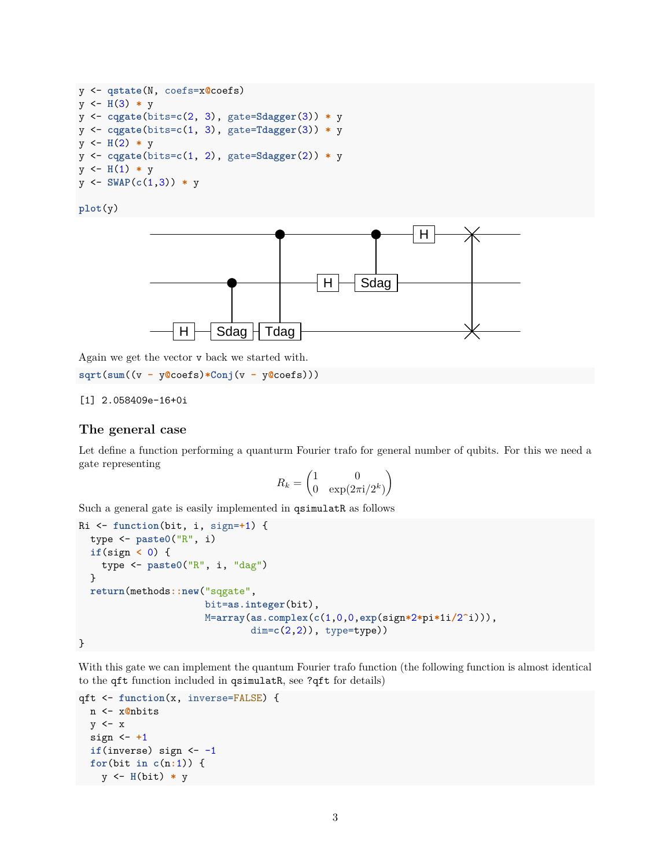```
y <- qstate(N, coefs=x@coefs)
y \leftarrow H(3) * yy <- cqgate(bits=c(2, 3), gate=Sdagger(3)) * y
y <- cqgate(bits=c(1, 3), gate=Tdagger(3)) * y
y \leftarrow H(2) * yy <- cqgate(bits=c(1, 2), gate=Sdagger(2)) * y
y <- H(1) * y
y <- SWAP(c(1,3)) * y
```

```
plot(y)
```


Again we get the vector v back we started with.

**sqrt**(**sum**((v **-** y**@**coefs)**\*Conj**(v **-** y**@**coefs)))

### [1] 2.058409e-16+0i

## **The general case**

Let define a function performing a quanturm Fourier trafo for general number of qubits. For this we need a gate representing

$$
R_k = \begin{pmatrix} 1 & 0 \\ 0 & \exp(2\pi i/2^k) \end{pmatrix}
$$

Such a general gate is easily implemented in qsimulatR as follows

```
Ri <- function(bit, i, sign=+1) {
  type <- paste0("R", i)
  if(sign < 0) {
    type <- paste0("R", i, "dag")
  }
  return(methods::new("sqgate",
                      bit=as.integer(bit),
                      M=array(as.complex(c(1,0,0,exp(sign*2*pi*1i/2^i))),
                              dim=c(2,2)), type=type))
```
}

With this gate we can implement the quantum Fourier trafo function (the following function is almost identical to the qft function included in qsimulatR, see ?qft for details)

```
qft <- function(x, inverse=FALSE) {
 n <- x@nbits
  y \leftarrow xsign <- +1
  if(inverse) sign <- -1
  for(bit in c(n:1)) {
    y <- H(bit) * y
```